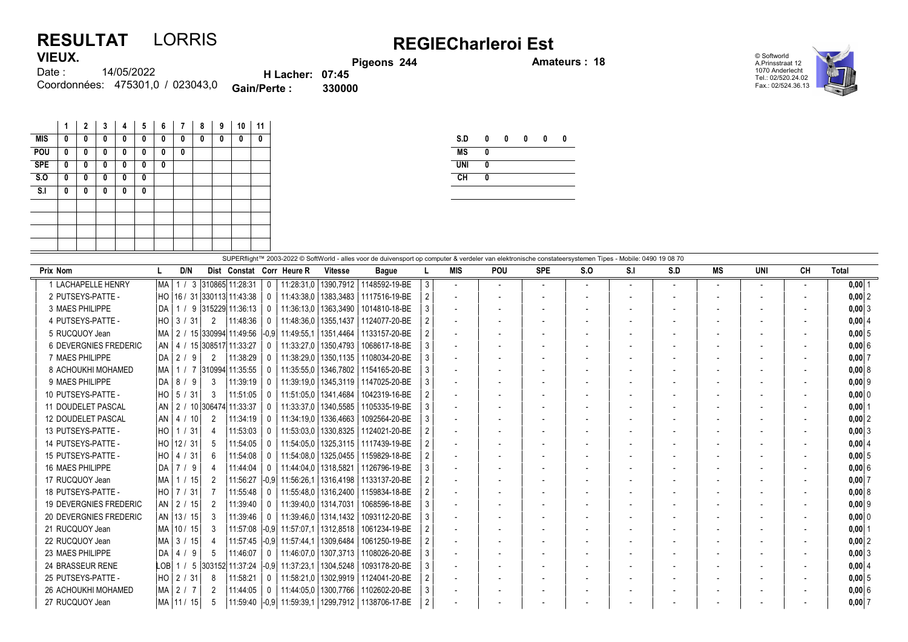## RESULTAT LORRIS REGIECharleroi Est VIEUX.

Pigeons 244 **Amateurs : 18** 

© Softworld A.Prinsstraat 12 1070 Anderlecht Tel.: 02/520.24.02 Fax.: 02/524.36.13



14/05/2022 Coordonnées: 475301,0 / 023043,0 **Gain/Perte : 330000** Date : H Lacher: 07:45<br>Perte : 330000

|            | 1 | 2 | 3 | 4 | 5 | 6 | 7 | 8 | 9 | 10 | 11 |
|------------|---|---|---|---|---|---|---|---|---|----|----|
| <b>MIS</b> | 0 | 0 | 0 | 0 | 0 | n | 0 | 0 | 0 | 0  | 0  |
| POU        | 0 | 0 | 0 | 0 | 0 | 0 | 0 |   |   |    |    |
| <b>SPE</b> | 0 | 0 | 0 | 0 | 0 | 0 |   |   |   |    |    |
| S.0        | 0 | 0 | 0 | 0 | 0 |   |   |   |   |    |    |
| S.I        | 0 | 0 | 0 | 0 | 0 |   |   |   |   |    |    |
|            |   |   |   |   |   |   |   |   |   |    |    |
|            |   |   |   |   |   |   |   |   |   |    |    |
|            |   |   |   |   |   |   |   |   |   |    |    |
|            |   |   |   |   |   |   |   |   |   |    |    |

| S.D        | 0 | 0 | 0 | 0 | Λ |
|------------|---|---|---|---|---|
| <b>MS</b>  | 0 |   |   |   |   |
| <b>UNI</b> | 0 |   |   |   |   |
| CH         | 0 |   |   |   |   |
|            |   |   |   |   |   |

|                               | SUPERflight™ 2003-2022 © SoftWorld - alles voor de duivensport op computer & verdeler van elektronische constateersystemen Tipes - Mobile: 0490 19 08 70 |  |              |               |                                  |              |                              |                        |                                                          |   |                          |                          |                          |                          |     |     |                          |                          |                          |            |
|-------------------------------|----------------------------------------------------------------------------------------------------------------------------------------------------------|--|--------------|---------------|----------------------------------|--------------|------------------------------|------------------------|----------------------------------------------------------|---|--------------------------|--------------------------|--------------------------|--------------------------|-----|-----|--------------------------|--------------------------|--------------------------|------------|
| <b>Prix Nom</b>               |                                                                                                                                                          |  | D/N          |               |                                  |              | Dist Constat Corr Heure R    | <b>Vitesse</b>         | <b>Bague</b>                                             |   | <b>MIS</b>               | <b>POU</b>               | <b>SPE</b>               | S.O                      | S.I | S.D | МS                       | <b>UNI</b>               | CH                       | Total      |
| 1 LACHAPELLE HENRY            | MA                                                                                                                                                       |  |              |               | 3 310865 11:28:31                | $\Omega$     | 11:28:31,0                   | 1390.7912              | 1148592-19-BE                                            | 3 | $\overline{\phantom{a}}$ | $\overline{\phantom{a}}$ | $\overline{\phantom{a}}$ | $\overline{\phantom{a}}$ |     |     | $\overline{\phantom{a}}$ | $\overline{\phantom{a}}$ | $\overline{\phantom{0}}$ | $0,00$ 1   |
| 2 PUTSEYS-PATTE -             |                                                                                                                                                          |  |              |               | HO   16 / 31   330113   11:43:38 | $\Omega$     |                              | 11:43:38,0   1383,3483 | 1117516-19-BE                                            |   | $\overline{\phantom{a}}$ |                          |                          |                          |     |     |                          |                          |                          | $0,00$ 2   |
| 3 MAES PHILIPPE               | DA I                                                                                                                                                     |  |              |               | 1 / 9   315229   11:36:13        |              | 11:36:13.0                   | 1363.3490              | 1014810-18-BE                                            |   | $\overline{\phantom{a}}$ |                          |                          |                          |     |     |                          |                          |                          | $0,00$ 3   |
| 4 PUTSEYS-PATTE -             |                                                                                                                                                          |  |              | 2             | 11:48:36                         |              | 11:48:36.0   1355.1437       |                        | 1124077-20-BE                                            |   | $\overline{\phantom{a}}$ |                          |                          |                          |     |     |                          |                          |                          | 0.0014     |
| 5 RUCQUOY Jean                | MA                                                                                                                                                       |  |              |               | 2 / 15 330994 11:49:56           |              | -0.9  11:49:55.1   1351.4464 |                        | 1133157-20-BE                                            |   |                          |                          |                          |                          |     |     |                          |                          |                          | 0.0015     |
| <b>6 DEVERGNIES FREDERIC</b>  |                                                                                                                                                          |  |              |               | AN   4 / 15 308517 11:33:27      | $\Omega$     |                              | 11:33:27.0   1350.4793 | 1068617-18-BE                                            |   |                          |                          |                          |                          |     |     |                          |                          |                          | $0.00$ 6   |
| 7 MAES PHILIPPE               | DA                                                                                                                                                       |  | $2/9$        | 2             | 11:38:29                         | $\Omega$     | 11:38:29,0                   | 1350, 1135             | 1108034-20-BE                                            |   |                          |                          |                          |                          |     |     |                          |                          |                          | $0,00$ 7   |
| 8 ACHOUKHI MOHAMED            | MA                                                                                                                                                       |  |              |               | 1 / 7 310994 11:35:55            |              | 11:35:55,0                   | 1346,7802              | 1154165-20-BE                                            |   | $\overline{\phantom{a}}$ |                          |                          |                          |     |     | $\overline{\phantom{a}}$ | $\overline{\phantom{0}}$ |                          | 0.0018     |
| 9 MAES PHILIPPE               | I DA I                                                                                                                                                   |  | 819          | 3             | 11:39:19                         |              |                              | 11:39:19.0   1345.3119 | 1147025-20-BE                                            |   | $\overline{\phantom{a}}$ |                          |                          |                          |     |     |                          |                          |                          | $0,00$ 9   |
| 10 PUTSEYS-PATTE -            | HO                                                                                                                                                       |  | 5 / 31       | 3             | 11:51:05                         |              | 11:51:05,0                   | 1341,4684              | 1042319-16-BE                                            |   |                          |                          |                          |                          |     |     |                          |                          |                          | $0,00$ 0   |
| 11 DOUDELET PASCAL            | AN                                                                                                                                                       |  |              |               | 2 / 10 306474 11:33:37           |              |                              | 11:33:37,0   1340,5585 | 1105335-19-BE                                            |   | $\overline{\phantom{a}}$ |                          |                          |                          |     |     |                          |                          |                          | $0,00$ 1   |
| <b>12 DOUDELET PASCAL</b>     |                                                                                                                                                          |  | AN   4 / 10  | 2             | 11:34:19                         | $\mathbf{0}$ | 11:34:19.0   1336.4663       |                        | 1092564-20-BE                                            |   |                          |                          |                          |                          |     |     |                          |                          |                          | 0.0012     |
| 13 PUTSEYS-PATTE -            |                                                                                                                                                          |  |              | 4             | 11:53:03                         | $\Omega$     | 11:53:03.0                   | 1330.8325              | 1124021-20-BE                                            |   |                          |                          |                          |                          |     |     |                          |                          |                          | 0.0013     |
| 14 PUTSEYS-PATTE -            |                                                                                                                                                          |  | HO   12 / 31 | -5            | 11:54:05                         | $\Omega$     | 11:54:05.0                   | 1325,3115              | 1117439-19-BE                                            |   |                          |                          |                          |                          |     |     |                          |                          |                          | 0.0014     |
| 15 PUTSEYS-PATTE -            |                                                                                                                                                          |  |              | 6             | 11:54:08                         | $\Omega$     | 11:54:08.0                   | 1325.0455              | 1159829-18-BE                                            |   | $\overline{\phantom{a}}$ |                          |                          |                          |     |     | $\overline{\phantom{a}}$ | $\overline{\phantom{0}}$ |                          | 0.0015     |
| 16 MAES PHILIPPE              | I DA I                                                                                                                                                   |  | 719          | 4             | 11:44:04                         | $\Omega$     | 11:44:04.0                   | 1318.5821              | 1126796-19-BE                                            |   | $\overline{\phantom{a}}$ |                          |                          |                          |     |     |                          |                          |                          | 0.0016     |
| 17 RUCQUOY Jean               | MA                                                                                                                                                       |  | 1/15         | $\mathcal{P}$ | 11:56:27                         | $ -0.9 $     | 11:56:26.1                   | 1316.4198              | 1133137-20-BE                                            |   |                          |                          |                          |                          |     |     |                          |                          |                          | $0.00$ 7   |
| 18 PUTSEYS-PATTE -            |                                                                                                                                                          |  |              |               | 11:55:48                         |              |                              | 11:55:48.0   1316.2400 | 1159834-18-BE                                            |   | $\overline{\phantom{a}}$ |                          |                          |                          |     |     |                          |                          |                          | 0.0018     |
| <b>19 DEVERGNIES FREDERIC</b> |                                                                                                                                                          |  | AN 2 / 15    | 2             | 11:39:40                         | $\Omega$     | 11:39:40.0   1314.7031       |                        | 1068596-18-BE                                            |   |                          |                          |                          |                          |     |     |                          |                          |                          | $0,00$ 9   |
| 20 DEVERGNIES FREDERIC        |                                                                                                                                                          |  | AN  13 / 15  | 3             | 11:39:46                         | $\mathbf{0}$ |                              | 11:39:46.0   1314.1432 | 1093112-20-BE                                            |   |                          |                          |                          |                          |     |     |                          |                          |                          | $0,00$ 0   |
| 21 RUCQUOY Jean               |                                                                                                                                                          |  | MA 10 / 15   | 3             | 11:57:08                         | $ -0.9 $     | 11:57:07.1                   | 1312,8518              | 1061234-19-BE                                            |   | $\overline{a}$           |                          |                          |                          |     |     |                          |                          |                          | $0,00$   1 |
| 22 RUCQUOY Jean               | MA                                                                                                                                                       |  | 3/15         | 4             | 11:57:45                         | $ -0.9 $     | 11:57:44.1                   | 1309.6484              | 1061250-19-BE                                            |   | $\overline{\phantom{a}}$ |                          |                          |                          |     |     | $\overline{\phantom{a}}$ | $\overline{\phantom{0}}$ |                          | $0,00$ 2   |
| 23 MAES PHILIPPE              | DA I                                                                                                                                                     |  | $4/9$        | -5            | 11:46:07                         | $\mathsf{O}$ | 11:46:07.0                   | 1307.3713              | 1108026-20-BE                                            |   | $\overline{\phantom{a}}$ |                          |                          |                          |     |     |                          |                          |                          | $0,00$ 3   |
| 24 BRASSEUR RENE              |                                                                                                                                                          |  |              |               | LOB   1 / 5   303152   11:37:24  | $ -0.9 $     | 11:37:23.1                   | 1304,5248              | 1093178-20-BE                                            |   | $\overline{\phantom{a}}$ |                          |                          |                          |     |     |                          |                          |                          | $0,00$ 4   |
| 25 PUTSEYS-PATTE -            |                                                                                                                                                          |  | HO   2 / 31  | 8             | 11:58:21                         | $\Omega$     | 11:58:21.0                   | 1302.9919              | 1124041-20-BE                                            |   | $\overline{\phantom{a}}$ |                          |                          |                          |     |     | $\overline{\phantom{a}}$ | $\overline{\phantom{0}}$ |                          | 0.0015     |
| 26 ACHOUKHI MOHAMED           |                                                                                                                                                          |  | MA 2 / 7     | 2             | 11:44:05                         | $\mathbf{0}$ | 11:44:05.0   1300.7766       |                        | 1102602-20-BE                                            |   |                          |                          |                          |                          |     |     |                          |                          |                          | $0.00$ 6   |
| 27 RUCQUOY Jean               |                                                                                                                                                          |  | MA   11 / 15 | 5             |                                  |              |                              |                        | 11:59:40   -0.9   11:59:39.1   1299.7912   1138706-17-BE |   |                          |                          |                          |                          |     |     |                          |                          |                          | 0.0017     |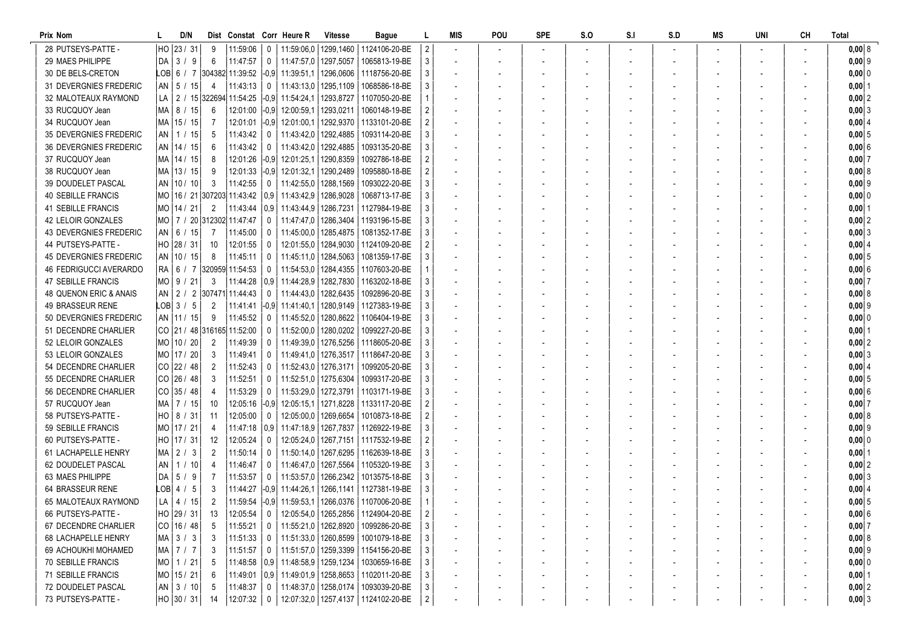| Prix Nom                                  |      | D/N                       |                               | Dist Constat Corr Heure R        |              |                                                   | <b>Vitesse</b>         | <b>Bague</b>                                                                       |                | MIS                      | POU | <b>SPE</b> | S.O | S <sub>1</sub> | S.D | MS | UNI | <b>CH</b> | Total                |
|-------------------------------------------|------|---------------------------|-------------------------------|----------------------------------|--------------|---------------------------------------------------|------------------------|------------------------------------------------------------------------------------|----------------|--------------------------|-----|------------|-----|----------------|-----|----|-----|-----------|----------------------|
| 28 PUTSEYS-PATTE -                        | HO   | 23/31                     | 9                             | 11:59:06                         | 0            |                                                   |                        | 11:59:06.0   1299.1460   1124106-20-BE                                             |                |                          |     |            |     |                |     |    |     |           | 0,00 8               |
| 29 MAES PHILIPPE                          | DA   | 3/9                       | 6                             | 11:47:57                         | 0            | 11:47:57,0 1297,5057                              |                        | 1065813-19-BE                                                                      | 3              |                          |     |            |     |                |     |    |     |           | $0,00$ 9             |
| 30 DE BELS-CRETON                         |      |                           |                               | LOB  6 / 7  304382  11:39:52     |              |                                                   |                        | $-0.9$ 11:39:51,1 1296,0606 1118756-20-BE                                          |                | $\overline{\phantom{a}}$ |     |            |     |                |     |    |     |           | $0,000$ 0            |
| 31 DEVERGNIES FREDERIC                    |      | $AN$ 5 / 15               | 4                             | 11:43:13                         | 0            | 11:43:13,0                                        | 1295,1109              | 1068586-18-BE                                                                      |                |                          |     |            |     |                |     |    |     |           | $0,00$ 1             |
| 32 MALOTEAUX RAYMOND                      | LA I |                           |                               | 2 / 15 322694 11:54:25           |              | $-0.9$ 11:54:24.1                                 |                        | 1293.8727   1107050-20-BE                                                          |                |                          |     |            |     |                |     |    |     |           | 0,00 2               |
| 33 RUCQUOY Jean                           | MA I | 8 / 15                    | 6                             | 12:01:00                         |              | $-0.9$ 12:00:59.1                                 | 1293,0211              | 1060148-19-BE                                                                      |                |                          |     |            |     |                |     |    |     |           | 0,00 3               |
| 34 RUCQUOY Jean                           | MA   | 15 / 15                   |                               | 12:01:01                         |              | -0.9  12:01:00.1                                  | 1292,9370              | 1133101-20-BE                                                                      |                |                          |     |            |     |                |     |    |     |           | $0,00$ 4             |
| <b>35 DEVERGNIES FREDERIC</b>             |      | AN   1 / 15               | 5                             | 11:43:42                         | $^{\circ}$   | 11:43:42,0                                        | 1292,4885              | 1093114-20-BE                                                                      |                |                          |     |            |     |                |     |    |     |           | $0,00$ 5             |
| <b>36 DEVERGNIES FREDERIC</b>             |      | AN   14 / 15              | 6                             | 11:43:42                         | 0            | 11:43:42,0   1292,4885                            |                        | 1093135-20-BE                                                                      |                |                          |     |            |     |                |     |    |     |           | 0,006                |
| 37 RUCQUOY Jean                           |      | MA   14 / 15              | 8                             | 12:01:26                         |              | $-0.9$ 12:01:25.1                                 | 1290,8359              | 1092786-18-BE                                                                      |                |                          |     |            |     |                |     |    |     |           | 0,0017               |
| 38 RUCQUOY Jean                           |      | MA   13 / 15              | 9                             | 12:01:33                         |              | $-0.9$ 12:01:32,1                                 | 1290.2489              | 1095880-18-BE                                                                      |                |                          |     |            |     |                |     |    |     |           | 0,008                |
| 39 DOUDELET PASCAL                        |      | AN   10 / 10              | -3                            | 11:42:55                         | 0            | 11:42:55.0   1288.1569                            |                        | 1093022-20-BE                                                                      |                | $\overline{\phantom{a}}$ |     |            |     |                |     |    |     |           | $0,00$ 9             |
| <b>40 SEBILLE FRANCIS</b>                 |      |                           |                               | MO   16 / 21   307203   11:43:42 |              | $0.9$   11:43:42.9                                | 1286,9028              | 1068713-17-BE                                                                      |                |                          |     |            |     |                |     |    |     |           | $0,00$ 0             |
| 41 SEBILLE FRANCIS                        |      | MO   14 / 21              | $\overline{2}$                | 11:43:44                         |              | $0.9$   11.43.44.9                                | 1286,7231              | 1127984-19-BE                                                                      |                | $\overline{\phantom{a}}$ |     |            |     |                |     |    |     |           | $0,00$ 1             |
| 42 LELOIR GONZALES                        |      |                           | MO   7 / 20  312302  11:47:47 |                                  | 0            | 11:47:47.0                                        |                        | 1286,3404   1193196-15-BE                                                          |                |                          |     |            |     |                |     |    |     |           | $0,00$ 2             |
| 43 DEVERGNIES FREDERIC                    |      | AN   6 / 15               | 7                             | 11:45:00                         | 0            |                                                   | 11:45:00,0   1285,4875 | 1081352-17-BE                                                                      |                | $\overline{\phantom{a}}$ |     |            |     |                |     |    |     |           | 0,003                |
| 44 PUTSEYS-PATTE -                        | HO   | 28/31                     | 10                            | 12:01:55                         | 0            |                                                   | 12:01:55,0   1284,9030 | 1124109-20-BE                                                                      |                |                          |     |            |     |                |     |    |     |           | $0,00$ 4             |
| <b>45 DEVERGNIES FREDERIC</b>             |      | AN   10 / 15              | 8                             | 11:45:11                         | $\mathbf 0$  | 11:45:11.0 1284.5063                              |                        | 1081359-17-BE                                                                      |                |                          |     |            |     |                |     |    |     |           | 0,005                |
| 46 FEDRIGUCCI AVERARDO                    |      |                           |                               | RA 6 / 7 320959 11:54:53         | 0            |                                                   |                        | 11:54:53.0   1284.4355   1107603-20-BE                                             |                |                          |     |            |     |                |     |    |     |           | 0,006                |
| 47 SEBILLE FRANCIS                        |      | $MO$ 9 / 21               | 3                             | 11:44:28                         |              |                                                   |                        | 0.9 11:44:28.9 1282.7830 1163202-18-BE                                             |                |                          |     |            |     |                |     |    |     |           | 0,007                |
| 48 QUENON ERIC & ANAIS                    |      |                           |                               | AN   2 / 2   307471   11:44:43   | 0            |                                                   |                        | 11:44:43.0   1282.6435   1092896-20-BE                                             |                | $\overline{\phantom{a}}$ |     |            |     |                |     |    |     |           | 0,0018               |
| 49 BRASSEUR RENE                          |      | LOB 3 / 5                 | 2                             | 11:41:41                         |              | $\begin{vmatrix} -0.9 & 11.41.40.1 \end{vmatrix}$ |                        | 1280,9149   1127383-19-BE                                                          |                |                          |     |            |     |                |     |    |     |           | $0,00$ 9             |
| 50 DEVERGNIES FREDERIC                    |      | AN   11 / 15              | 9                             | 11:45:52                         | 0            | 11:45:52,0                                        |                        | 1280,8622   1106404-19-BE                                                          |                |                          |     |            |     |                |     |    |     |           | $0,000$ 0            |
| 51 DECENDRE CHARLIER                      |      |                           |                               | CO 21 / 48 316165 11:52:00       | 0            | 11:52:00,0                                        | 1280,0202              | 1099227-20-BE                                                                      |                |                          |     |            |     |                |     |    |     |           | $0,00$ 1             |
| 52 LELOIR GONZALES                        |      | MO 10 / 20                | $\overline{2}$                | 11:49:39                         | $\Omega$     | 11:49:39,0                                        |                        | 1276,5256   1118605-20-BE                                                          |                |                          |     |            |     |                |     |    |     |           | $0,00$  2            |
| 53 LELOIR GONZALES                        |      | MO 17 / 20                | 3                             | 11:49:41                         | $\Omega$     |                                                   |                        | 11:49:41.0   1276.3517   1118647-20-BE                                             |                |                          |     |            |     |                |     |    |     |           | 0,0013               |
| 54 DECENDRE CHARLIER                      |      | $CO$ 22 / 48              | $\overline{2}$                | 11:52:43                         | $\Omega$     | 11:52:43,0   1276,3171                            |                        | 1099205-20-BE                                                                      |                |                          |     |            |     |                |     |    |     |           | 0,00   4             |
| 55 DECENDRE CHARLIER                      |      | $CO$ 26 / 48              | 3                             | 11:52:51                         | 0            | 11:52:51,0 1275,6304                              |                        | 1099317-20-BE                                                                      |                | $\overline{\phantom{a}}$ |     |            |     |                |     |    |     |           | $0,00$ 5             |
| 56 DECENDRE CHARLIER                      |      | $CO$ 35 / 48              | 4                             | 11:53:29                         | $^{\circ}$   |                                                   |                        | 11:53:29.0   1272.3791   1103171-19-BE                                             |                |                          |     |            |     |                |     |    |     |           | 0,006                |
| 57 RUCQUOY Jean                           |      | MA   7 / 15               | 10                            | 12:05:16                         |              | $-0.9$ 12:05:15.1                                 |                        | 1271,8228   1133117-20-BE                                                          |                | $\overline{\phantom{a}}$ |     |            |     |                |     |    |     |           | $0,00$ 7             |
| 58 PUTSEYS-PATTE -                        |      | $HO$   8 / 31             | 11                            | 12:05:00                         | 0            |                                                   | 12:05:00.0   1269.6654 | 1010873-18-BE                                                                      |                | $\overline{\phantom{a}}$ |     |            |     |                |     |    |     |           | 0,008                |
| 59 SEBILLE FRANCIS                        |      | MO 17 / 21                | 4                             | 11:47:18                         |              | $0.9$   11.47.18.9                                |                        | 1267,7837   1126922-19-BE                                                          |                |                          |     |            |     |                |     |    |     |           | $0,00$ 9             |
| 60 PUTSEYS-PATTE -                        |      | HO 17 / 31                | 12 <sup>°</sup>               | 12:05:24                         | $\Omega$     | 12:05:24,0                                        |                        | 1267,7151 1117532-19-BE                                                            |                |                          |     |            |     |                |     |    |     |           | 0,00 0               |
| <b>61 LACHAPELLE HENRY</b>                |      | $MA$ 2 / 3                | 2                             | 11:50:14                         | $\Omega$     | 11:50:14,0                                        |                        | 1267.6295   1162639-18-BE                                                          |                |                          |     |            |     |                |     |    |     |           | $0,00$ 1             |
| 62 DOUDELET PASCAL                        |      | AN   1 / 10               |                               | 11:46:47                         | 0            |                                                   |                        | 11:46:47.0   1267.5564   1105320-19-BE                                             |                |                          |     |            |     |                |     |    |     |           | 0,0012               |
| 63 MAES PHILIPPE                          | DA   | 5/9                       |                               | 11:53:57                         | $\Omega$     |                                                   |                        | 11:53:57,0   1266,2342   1013575-18-BE                                             |                |                          |     |            |     |                |     |    |     |           | 0,003                |
| 64 BRASSEUR RENE                          |      | $LOB$ 4 / 5               | 3                             | 11:44:27                         |              | $-0.9$ 11:44:26.1                                 |                        | 1266,1141   1127381-19-BE                                                          |                |                          |     |            |     |                |     |    |     |           | 0,0014               |
| 65 MALOTEAUX RAYMOND                      |      | $LA$   4 / 15             | 2                             |                                  |              |                                                   |                        |                                                                                    |                |                          |     |            |     |                |     |    |     |           | 0,005                |
| 66 PUTSEYS-PATTE -                        |      | HO 29 / 31                | 13                            | 12:05:54                         | $\mathbf 0$  |                                                   |                        | 12:05:54,0   1265,2856   1124904-20-BE                                             | $\overline{2}$ |                          |     |            |     |                |     |    |     |           | $0,00$ 6             |
| 67 DECENDRE CHARLIER                      |      | $CO$ 16 / 48              | 5                             | 11:55:21                         | $\mathbf 0$  |                                                   |                        | 11:55:21,0   1262,8920   1099286-20-BE                                             |                |                          |     |            |     |                |     |    |     |           | 0,007                |
| 68 LACHAPELLE HENRY                       |      | $MA$ 3 / 3                | 3                             | 11:51:33                         | $\mathbf 0$  |                                                   |                        | 11:51:33,0   1260,8599   1001079-18-BE<br>  11:51:57,0   1259,3399   1154156-20-BE |                |                          |     |            |     |                |     |    |     |           | 0,008                |
| 69 ACHOUKHI MOHAMED<br>70 SEBILLE FRANCIS |      | $MA$ 7 / 7                | 3<br>5                        | 11:51:57                         | $\mathbf{0}$ |                                                   |                        | 0,9   11:48:58,9   1259,1234   1030659-16-BE                                       |                |                          |     |            |     |                |     |    |     |           | $0,00$ 9             |
| 71 SEBILLE FRANCIS                        |      | $MO$ 1 / 21<br>MO 15 / 21 |                               | 11:48:58<br>11:49:01             |              |                                                   |                        | 0,9   11:49:01,9   1258,8653   1102011-20-BE                                       |                |                          |     |            |     |                |     |    |     |           | $0,00$ 0<br>$0,00$ 1 |
| 72 DOUDELET PASCAL                        |      | $AN$ 3 / 10               | -5                            | 11:48:37                         | $\mathbf 0$  |                                                   |                        | 11:48:37,0   1258,0174   1093039-20-BE                                             |                |                          |     |            |     |                |     |    |     |           | $0,00$ 2             |
| 73 PUTSEYS-PATTE -                        |      | HO 30 / 31                | -14                           | 12:07:32                         | $\mathbf 0$  |                                                   |                        | 12:07:32,0   1257,4137   1124102-20-BE                                             | $\overline{2}$ |                          |     |            |     |                |     |    |     |           | $0,00$ 3             |
|                                           |      |                           |                               |                                  |              |                                                   |                        |                                                                                    |                |                          |     |            |     |                |     |    |     |           |                      |